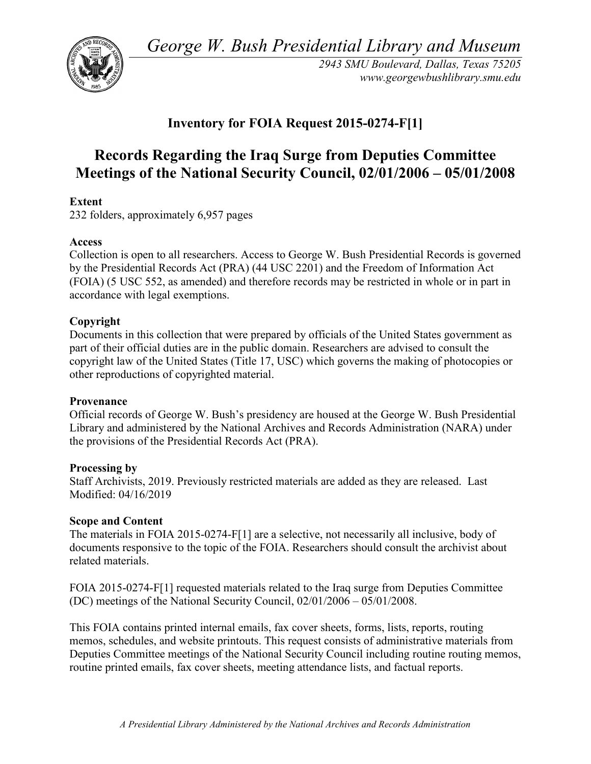*George W. Bush Presidential Library and Museum* 



 *2943 SMU Boulevard, Dallas, Texas 75205 <www.georgewbushlibrary.smu.edu>*

# **Inventory for FOIA Request 2015-0274-F[1]**

# **Meetings of the National Security Council, 02/01/2006 – 05/01/2008 Records Regarding the Iraq Surge from Deputies Committee**

# **Extent**

232 folders, approximately 6,957 pages

# **Access**

 by the Presidential Records Act (PRA) (44 USC 2201) and the Freedom of Information Act Collection is open to all researchers. Access to George W. Bush Presidential Records is governed (FOIA) (5 USC 552, as amended) and therefore records may be restricted in whole or in part in accordance with legal exemptions.

# **Copyright**

 Documents in this collection that were prepared by officials of the United States government as part of their official duties are in the public domain. Researchers are advised to consult the copyright law of the United States (Title 17, USC) which governs the making of photocopies or other reproductions of copyrighted material.

# **Provenance**

 Official records of George W. Bush's presidency are housed at the George W. Bush Presidential Library and administered by the National Archives and Records Administration (NARA) under the provisions of the Presidential Records Act (PRA).

# **Processing by**

 Staff Archivists, 2019. Previously restricted materials are added as they are released. Last Modified: 04/16/2019

# **Scope and Content**

The materials in FOIA 2015-0274-F[1] are a selective, not necessarily all inclusive, body of documents responsive to the topic of the FOIA. Researchers should consult the archivist about related materials.

FOIA 2015-0274-F[1] requested materials related to the Iraq surge from Deputies Committee (DC) meetings of the National Security Council, 02/01/2006 – 05/01/2008.

 memos, schedules, and website printouts. This request consists of administrative materials from This FOIA contains printed internal emails, fax cover sheets, forms, lists, reports, routing Deputies Committee meetings of the National Security Council including routine routing memos, routine printed emails, fax cover sheets, meeting attendance lists, and factual reports.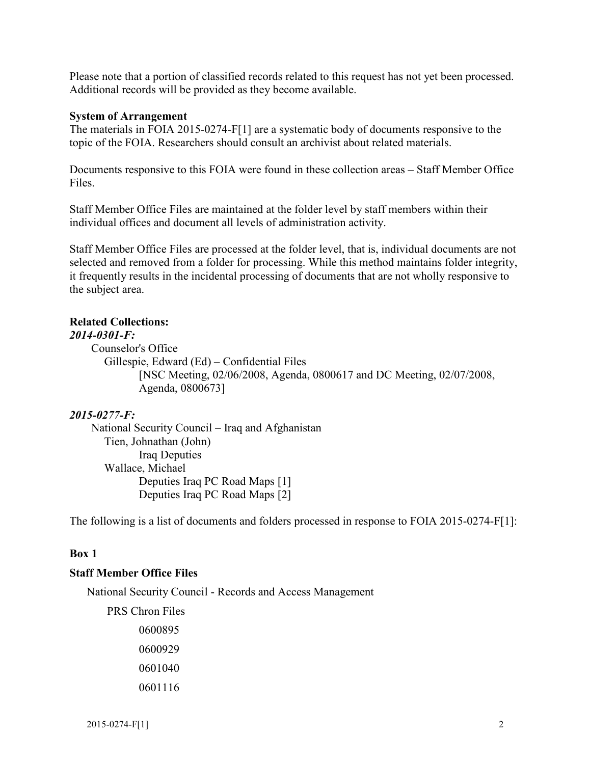Please note that a portion of classified records related to this request has not yet been processed. Additional records will be provided as they become available.

#### **System of Arrangement**

The materials in FOIA 2015-0274-F[1] are a systematic body of documents responsive to the topic of the FOIA. Researchers should consult an archivist about related materials.

 Documents responsive to this FOIA were found in these collection areas – Staff Member Office Files.

Staff Member Office Files are maintained at the folder level by staff members within their individual offices and document all levels of administration activity.

Staff Member Office Files are processed at the folder level, that is, individual documents are not selected and removed from a folder for processing. While this method maintains folder integrity, it frequently results in the incidental processing of documents that are not wholly responsive to the subject area.

#### **Related Collections:**

#### *2014-0301-F:*

 Gillespie, Edward (Ed) – Confidential Files Counselor's Office [NSC Meeting, 02/06/2008, Agenda, 0800617 and DC Meeting, 02/07/2008, Agenda, 0800673]

#### *2015-0277-F:*

 National Security Council – Iraq and Afghanistan Tien, Johnathan (John) Iraq Deputies Wallace, Michael Deputies Iraq PC Road Maps [1] Deputies Iraq PC Road Maps [2]

The following is a list of documents and folders processed in response to FOIA 2015-0274-F[1]:

#### **Box 1**

#### **Staff Member Office Files**

National Security Council - Records and Access Management

 PRS Chron Files 0600895 0600929 0601040 0601116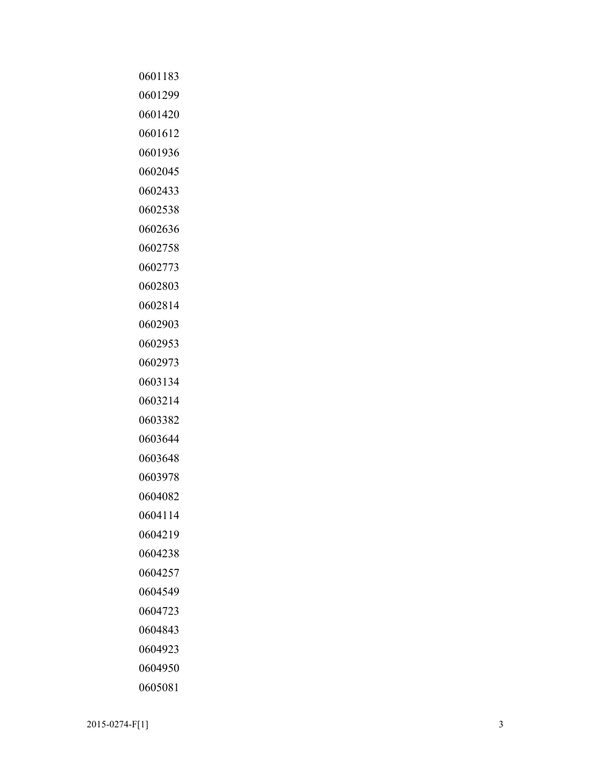| 0601183 |
|---------|
| 0601299 |
| 0601420 |
| 0601612 |
| 0601936 |
| 0602045 |
| 0602433 |
| 0602538 |
| 0602636 |
| 0602758 |
| 0602773 |
| 0602803 |
| 0602814 |
| 0602903 |
| 0602953 |
| 0602973 |
| 0603134 |
| 0603214 |
| 0603382 |
| 0603644 |
| 0603648 |
| 0603978 |
| 0604082 |
| 0604114 |
| 0604219 |
| 0604238 |
| 0604257 |
| 0604549 |
| 0604723 |
| 0604843 |
| 0604923 |
| 0604950 |
| 0605081 |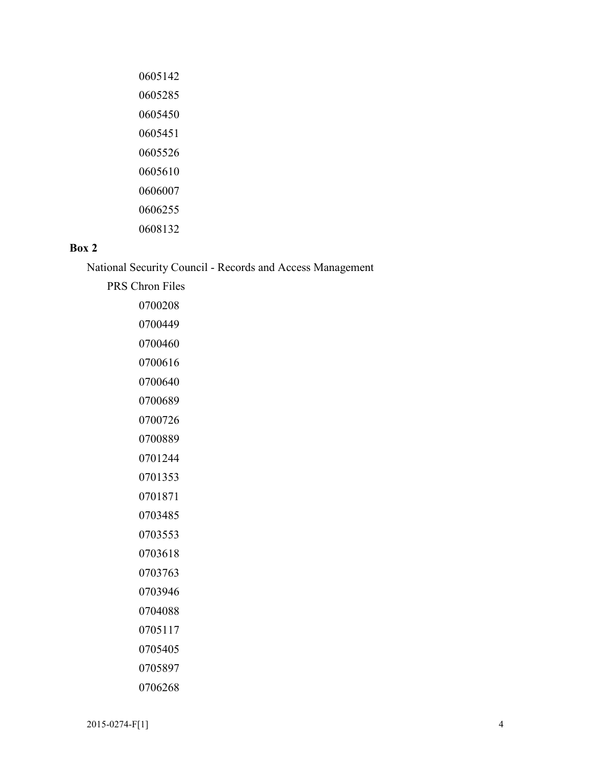| 0605142 |
|---------|
| 0605285 |
| 0605450 |
| 0605451 |
| 0605526 |
| 0605610 |
| 0606007 |
| 0606255 |
| 0608132 |

# **Box 2**

National Security Council - Records and Access Management

| <b>PRS Chron Files</b> |
|------------------------|
| 0700208                |
| 0700449                |
| 0700460                |
| 0700616                |
| 0700640                |
| 0700689                |
| 0700726                |
| 0700889                |
| 0701244                |
| 0701353                |
| 0701871                |
| 0703485                |
| 0703553                |
| 0703618                |
| 0703763                |
| 0703946                |
| 0704088                |
| 0705117                |
| 0705405                |
| 0705897                |
| 0706268                |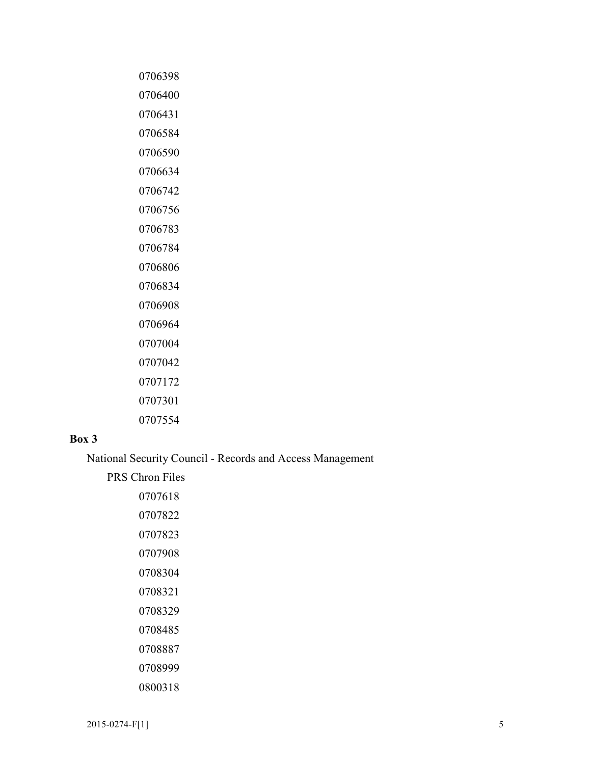# **Box 3**

National Security Council - Records and Access Management

 $2015-0274-F[1]$  5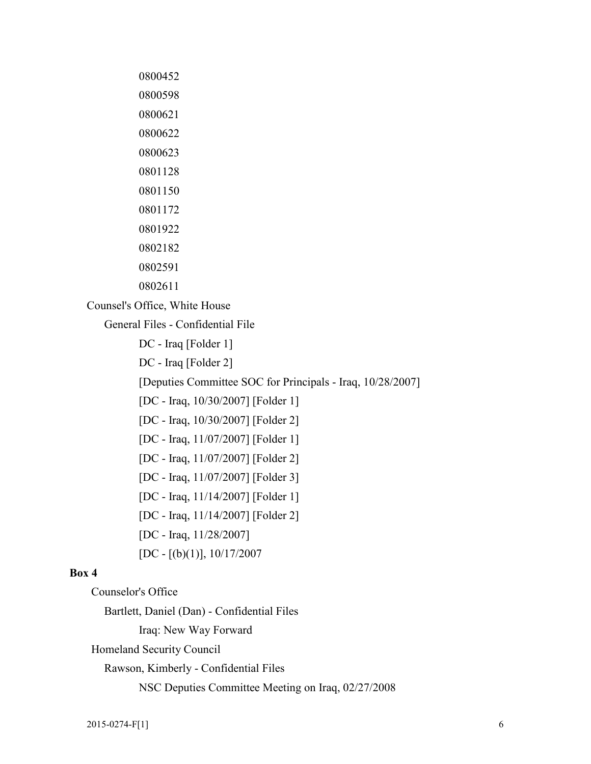| 0800452 |
|---------|
| 0800598 |
| 0800621 |
| 0800622 |
| 0800623 |
| 0801128 |
| 0801150 |
| 0801172 |
| 0801922 |
| 0802182 |
| 0802591 |
| 0802611 |

Counsel's Office, White House

General Files - Confidential File

DC - Iraq [Folder 1]

DC - Iraq [Folder 2]

[Deputies Committee SOC for Principals - Iraq, 10/28/2007]

[DC - Iraq, 10/30/2007] [Folder 1]

[DC - Iraq, 10/30/2007] [Folder 2]

[DC - Iraq, 11/07/2007] [Folder 1]

[DC - Iraq, 11/07/2007] [Folder 2]

[DC - Iraq, 11/07/2007] [Folder 3]

[DC - Iraq, 11/14/2007] [Folder 1]

[DC - Iraq, 11/14/2007] [Folder 2]

[DC - Iraq, 11/28/2007]

 $[DC - [(b)(1)], 10/17/2007]$ 

#### **Box 4**

Counselor's Office

Bartlett, Daniel (Dan) - Confidential Files

Iraq: New Way Forward

Homeland Security Council

Rawson, Kimberly - Confidential Files

NSC Deputies Committee Meeting on Iraq, 02/27/2008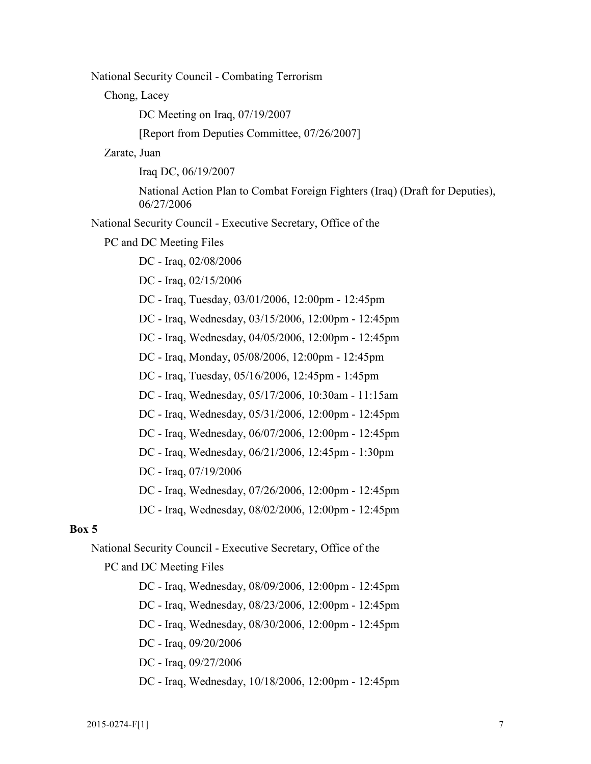National Security Council - Combating Terrorism

Chong, Lacey

DC Meeting on Iraq, 07/19/2007

[Report from Deputies Committee, 07/26/2007]

Zarate, Juan

Iraq DC, 06/19/2007

National Action Plan to Combat Foreign Fighters (Iraq) (Draft for Deputies), 06/27/2006

National Security Council - Executive Secretary, Office of the

PC and DC Meeting Files

DC - Iraq, 02/08/2006

DC - Iraq, 02/15/2006

DC - Iraq, Tuesday, 03/01/2006, 12:00pm - 12:45pm

DC - Iraq, Wednesday, 03/15/2006, 12:00pm - 12:45pm

DC - Iraq, Wednesday, 04/05/2006, 12:00pm - 12:45pm

DC - Iraq, Monday, 05/08/2006, 12:00pm - 12:45pm

DC - Iraq, Tuesday, 05/16/2006, 12:45pm - 1:45pm

DC - Iraq, Wednesday, 05/17/2006, 10:30am - 11:15am

DC - Iraq, Wednesday, 05/31/2006, 12:00pm - 12:45pm

DC - Iraq, Wednesday, 06/07/2006, 12:00pm - 12:45pm

DC - Iraq, Wednesday, 06/21/2006, 12:45pm - 1:30pm

DC - Iraq, 07/19/2006

DC - Iraq, Wednesday, 07/26/2006, 12:00pm - 12:45pm

DC - Iraq, Wednesday, 08/02/2006, 12:00pm - 12:45pm

# **Box 5**

National Security Council - Executive Secretary, Office of the

PC and DC Meeting Files

DC - Iraq, Wednesday, 08/09/2006, 12:00pm - 12:45pm

DC - Iraq, Wednesday, 08/23/2006, 12:00pm - 12:45pm

DC - Iraq, Wednesday, 08/30/2006, 12:00pm - 12:45pm

DC - Iraq, 09/20/2006

DC - Iraq, 09/27/2006

DC - Iraq, Wednesday, 10/18/2006, 12:00pm - 12:45pm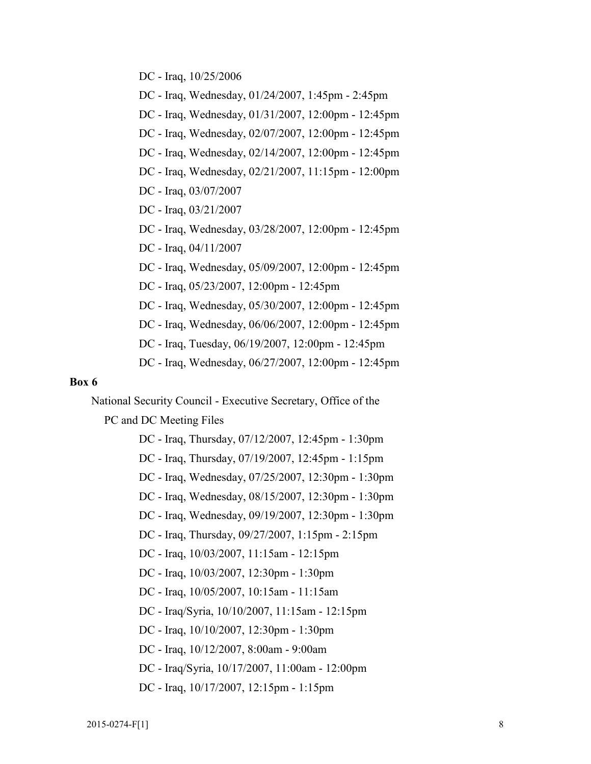DC - Iraq, 10/25/2006

DC - Iraq, Wednesday, 01/24/2007, 1:45pm - 2:45pm

DC - Iraq, Wednesday, 01/31/2007, 12:00pm - 12:45pm

DC - Iraq, Wednesday, 02/07/2007, 12:00pm - 12:45pm

DC - Iraq, Wednesday, 02/14/2007, 12:00pm - 12:45pm

DC - Iraq, Wednesday, 02/21/2007, 11:15pm - 12:00pm

DC - Iraq, 03/07/2007

DC - Iraq, 03/21/2007

DC - Iraq, Wednesday, 03/28/2007, 12:00pm - 12:45pm

DC - Iraq, 04/11/2007

DC - Iraq, Wednesday, 05/09/2007, 12:00pm - 12:45pm

DC - Iraq, 05/23/2007, 12:00pm - 12:45pm

DC - Iraq, Wednesday, 05/30/2007, 12:00pm - 12:45pm

DC - Iraq, Wednesday, 06/06/2007, 12:00pm - 12:45pm

DC - Iraq, Tuesday, 06/19/2007, 12:00pm - 12:45pm

DC - Iraq, Wednesday, 06/27/2007, 12:00pm - 12:45pm

#### **Box 6**

National Security Council - Executive Secretary, Office of the

PC and DC Meeting Files

 DC - Iraq, Thursday, 07/12/2007, 12:45pm - 1:30pm DC - Iraq, Thursday, 07/19/2007, 12:45pm - 1:15pm DC - Iraq, Wednesday, 07/25/2007, 12:30pm - 1:30pm DC - Iraq, Wednesday, 08/15/2007, 12:30pm - 1:30pm DC - Iraq, Wednesday, 09/19/2007, 12:30pm - 1:30pm DC - Iraq, Thursday, 09/27/2007, 1:15pm - 2:15pm DC - Iraq, 10/03/2007, 11:15am - 12:15pm DC - Iraq, 10/03/2007, 12:30pm - 1:30pm DC - Iraq, 10/05/2007, 10:15am - 11:15am DC - Iraq/Syria, 10/10/2007, 11:15am - 12:15pm DC - Iraq, 10/10/2007, 12:30pm - 1:30pm DC - Iraq, 10/12/2007, 8:00am - 9:00am DC - Iraq/Syria, 10/17/2007, 11:00am - 12:00pm DC - Iraq, 10/17/2007, 12:15pm - 1:15pm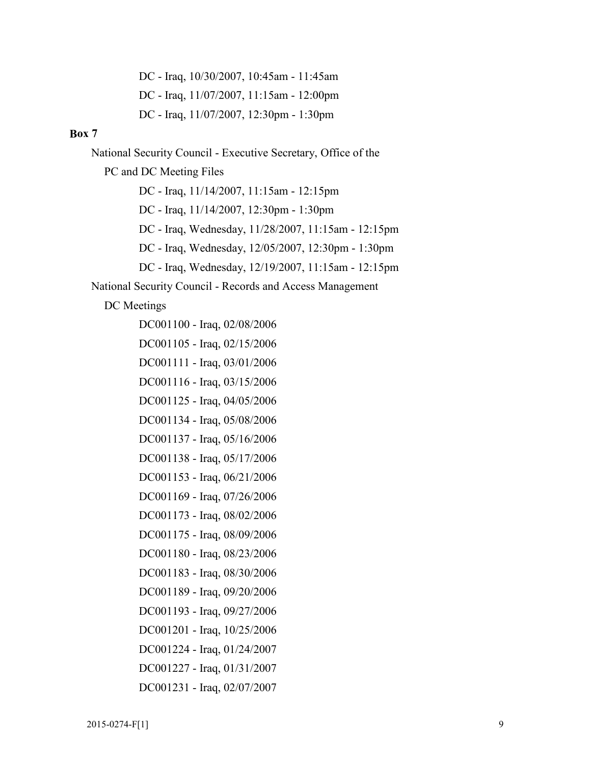DC - Iraq, 10/30/2007, 10:45am - 11:45am DC - Iraq, 11/07/2007, 11:15am - 12:00pm DC - Iraq, 11/07/2007, 12:30pm - 1:30pm

#### **Box 7**

National Security Council - Executive Secretary, Office of the

PC and DC Meeting Files

DC - Iraq, 11/14/2007, 11:15am - 12:15pm

DC - Iraq, 11/14/2007, 12:30pm - 1:30pm

DC - Iraq, Wednesday, 11/28/2007, 11:15am - 12:15pm

DC - Iraq, Wednesday, 12/05/2007, 12:30pm - 1:30pm

DC - Iraq, Wednesday, 12/19/2007, 11:15am - 12:15pm

National Security Council - Records and Access Management

DC Meetings

- DC001100 Iraq, 02/08/2006 DC001105 - Iraq, 02/15/2006 DC001111 - Iraq, 03/01/2006 DC001116 - Iraq, 03/15/2006 DC001125 - Iraq, 04/05/2006 DC001134 - Iraq, 05/08/2006 DC001137 - Iraq, 05/16/2006 DC001138 - Iraq, 05/17/2006 DC001153 - Iraq, 06/21/2006 DC001169 - Iraq, 07/26/2006 DC001173 - Iraq, 08/02/2006 DC001175 - Iraq, 08/09/2006 DC001180 - Iraq, 08/23/2006 DC001183 - Iraq, 08/30/2006 DC001189 - Iraq, 09/20/2006 DC001193 - Iraq, 09/27/2006 DC001201 - Iraq, 10/25/2006 DC001224 - Iraq, 01/24/2007 DC001227 - Iraq, 01/31/2007
- DC001231 Iraq, 02/07/2007